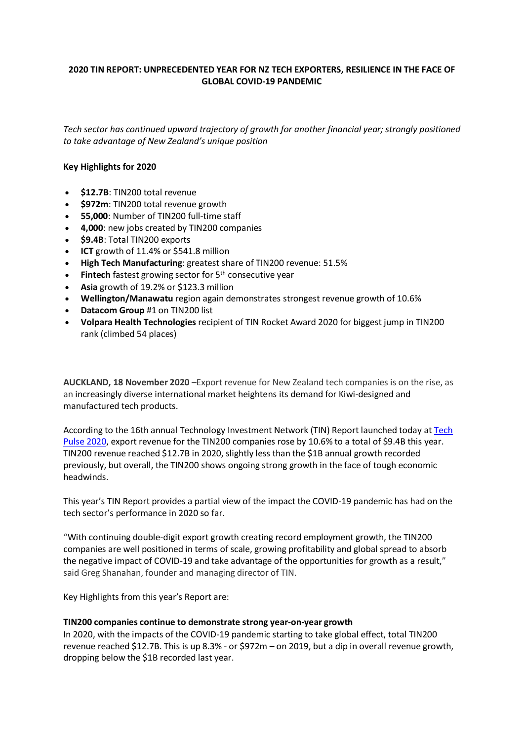## **2020 TIN REPORT: UNPRECEDENTED YEAR FOR NZ TECH EXPORTERS, RESILIENCE IN THE FACE OF GLOBAL COVID-19 PANDEMIC**

*Tech sector has continued upward trajectory of growth for another financial year; strongly positioned to take advantage of New Zealand's unique position*

### **Key Highlights for 2020**

- **\$12.7B**: TIN200 total revenue
- **\$972m**: TIN200 total revenue growth
- **55,000**: Number of TIN200 full-time staff
- **4,000**: new jobs created by TIN200 companies
- **\$9.4B**: Total TIN200 exports
- **ICT** growth of 11.4% or \$541.8 million
- **High Tech Manufacturing**: greatest share of TIN200 revenue: 51.5%
- **Fintech** fastest growing sector for 5<sup>th</sup> consecutive year
- **Asia** growth of 19.2% or \$123.3 million
- **Wellington/Manawatu** region again demonstrates strongest revenue growth of 10.6%
- **Datacom Group** #1 on TIN200 list
- **Volpara Health Technologies** recipient of TIN Rocket Award 2020 for biggest jump in TIN200 rank (climbed 54 places)

**AUCKLAND, 18 November 2020** –Export revenue for New Zealand tech companies is on the rise, as an increasingly diverse international market heightens its demand for Kiwi-designed and manufactured tech products.

According to the 16th annual Technology Investment Network (TIN) Report launched today at [Tech](https://tin100.com/tech-pulse-2020/?mc_cid=cd79ce1c8f&mc_eid=006a47dd14)  [Pulse 2020,](https://tin100.com/tech-pulse-2020/?mc_cid=cd79ce1c8f&mc_eid=006a47dd14) export revenue for the TIN200 companies rose by 10.6% to a total of \$9.4B this year. TIN200 revenue reached \$12.7B in 2020, slightly less than the \$1B annual growth recorded previously, but overall, the TIN200 shows ongoing strong growth in the face of tough economic headwinds.

This year's TIN Report provides a partial view of the impact the COVID-19 pandemic has had on the tech sector's performance in 2020 so far.

"With continuing double-digit export growth creating record employment growth, the TIN200 companies are well positioned in terms of scale, growing profitability and global spread to absorb the negative impact of COVID-19 and take advantage of the opportunities for growth as a result," said Greg Shanahan, founder and managing director of TIN.

Key Highlights from this year's Report are:

### **TIN200 companies continue to demonstrate strong year-on-year growth**

In 2020, with the impacts of the COVID-19 pandemic starting to take global effect, total TIN200 revenue reached \$12.7B. This is up 8.3% - or \$972m – on 2019, but a dip in overall revenue growth, dropping below the \$1B recorded last year.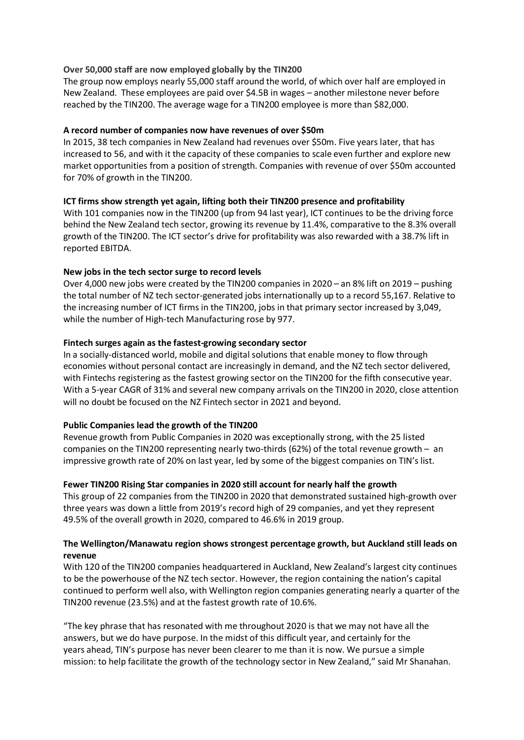## **Over 50,000 staff are now employed globally by the TIN200**

The group now employs nearly 55,000 staff around the world, of which over half are employed in New Zealand. These employees are paid over \$4.5B in wages – another milestone never before reached by the TIN200. The average wage for a TIN200 employee is more than \$82,000.

## **A record number of companies now have revenues of over \$50m**

In 2015, 38 tech companies in New Zealand had revenues over \$50m. Five years later, that has increased to 56, and with it the capacity of these companies to scale even further and explore new market opportunities from a position of strength. Companies with revenue of over \$50m accounted for 70% of growth in the TIN200.

## **ICT firms show strength yet again, lifting both their TIN200 presence and profitability**

With 101 companies now in the TIN200 (up from 94 last year), ICT continues to be the driving force behind the New Zealand tech sector, growing its revenue by 11.4%, comparative to the 8.3% overall growth of the TIN200. The ICT sector's drive for profitability was also rewarded with a 38.7% lift in reported EBITDA.

## **New jobs in the tech sector surge to record levels**

Over 4,000 new jobs were created by the TIN200 companies in 2020 – an 8% lift on 2019 – pushing the total number of NZ tech sector-generated jobs internationally up to a record 55,167. Relative to the increasing number of ICT firms in the TIN200, jobs in that primary sector increased by 3,049, while the number of High-tech Manufacturing rose by 977.

## **Fintech surges again as the fastest-growing secondary sector**

In a socially-distanced world, mobile and digital solutions that enable money to flow through economies without personal contact are increasingly in demand, and the NZ tech sector delivered, with Fintechs registering as the fastest growing sector on the TIN200 for the fifth consecutive year. With a 5-year CAGR of 31% and several new company arrivals on the TIN200 in 2020, close attention will no doubt be focused on the NZ Fintech sector in 2021 and beyond.

## **Public Companies lead the growth of the TIN200**

Revenue growth from Public Companies in 2020 was exceptionally strong, with the 25 listed companies on the TIN200 representing nearly two-thirds (62%) of the total revenue growth – an impressive growth rate of 20% on last year, led by some of the biggest companies on TIN's list.

### **Fewer TIN200 Rising Star companies in 2020 still account for nearly half the growth**

This group of 22 companies from the TIN200 in 2020 that demonstrated sustained high-growth over three years was down a little from 2019's record high of 29 companies, and yet they represent 49.5% of the overall growth in 2020, compared to 46.6% in 2019 group.

## **The Wellington/Manawatu region shows strongest percentage growth, but Auckland still leads on revenue**

With 120 of the TIN200 companies headquartered in Auckland, New Zealand's largest city continues to be the powerhouse of the NZ tech sector. However, the region containing the nation's capital continued to perform well also, with Wellington region companies generating nearly a quarter of the TIN200 revenue (23.5%) and at the fastest growth rate of 10.6%.

"The key phrase that has resonated with me throughout 2020 is that we may not have all the answers, but we do have purpose. In the midst of this difficult year, and certainly for the years ahead, TIN's purpose has never been clearer to me than it is now. We pursue a simple mission: to help facilitate the growth of the technology sector in New Zealand," said Mr Shanahan.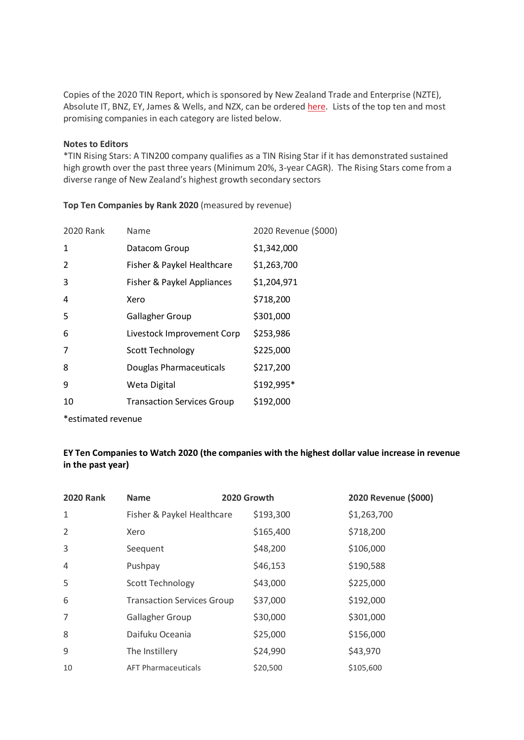Copies of the 2020 TIN Report, which is sponsored by New Zealand Trade and Enterprise (NZTE), Absolute IT, BNZ, EY, James & Wells, and NZX, can be ordered [here.](https://tin100.com/shop/) Lists of the top ten and most promising companies in each category are listed below.

#### **Notes to Editors**

\*TIN Rising Stars: A TIN200 company qualifies as a TIN Rising Star if it has demonstrated sustained high growth over the past three years (Minimum 20%, 3-year CAGR). The Rising Stars come from a diverse range of New Zealand's highest growth secondary sectors

| 2020 Rank | Name                              | 2020 Revenue (\$000) |
|-----------|-----------------------------------|----------------------|
| 1         | Datacom Group                     | \$1,342,000          |
| 2         | Fisher & Paykel Healthcare        | \$1,263,700          |
| 3         | Fisher & Paykel Appliances        | \$1,204,971          |
| 4         | Xero                              | \$718,200            |
| 5         | <b>Gallagher Group</b>            | \$301,000            |
| 6         | Livestock Improvement Corp        | \$253,986            |
| 7         | <b>Scott Technology</b>           | \$225,000            |
| 8         | Douglas Pharmaceuticals           | \$217,200            |
| 9         | Weta Digital                      | \$192,995*           |
| 10        | <b>Transaction Services Group</b> | \$192,000            |
|           |                                   |                      |

**Top Ten Companies by Rank 2020** (measured by revenue)

\*estimated revenue

# **EY Ten Companies to Watch 2020 (the companies with the highest dollar value increase in revenue in the past year)**

| <b>2020 Rank</b> | <b>Name</b>                       | 2020 Growth |           | 2020 Revenue (\$000) |
|------------------|-----------------------------------|-------------|-----------|----------------------|
| 1                | Fisher & Paykel Healthcare        |             | \$193,300 | \$1,263,700          |
| 2                | Xero                              |             | \$165,400 | \$718,200            |
| 3                | Seequent                          |             | \$48,200  | \$106,000            |
| 4                | Pushpay                           |             | \$46,153  | \$190,588            |
| 5                | <b>Scott Technology</b>           |             | \$43,000  | \$225,000            |
| 6                | <b>Transaction Services Group</b> |             | \$37,000  | \$192,000            |
| $\overline{7}$   | <b>Gallagher Group</b>            |             | \$30,000  | \$301,000            |
| 8                | Daifuku Oceania                   |             | \$25,000  | \$156,000            |
| 9                | The Instillery                    |             | \$24,990  | \$43,970             |
| 10               | <b>AFT Pharmaceuticals</b>        |             | \$20,500  | \$105,600            |